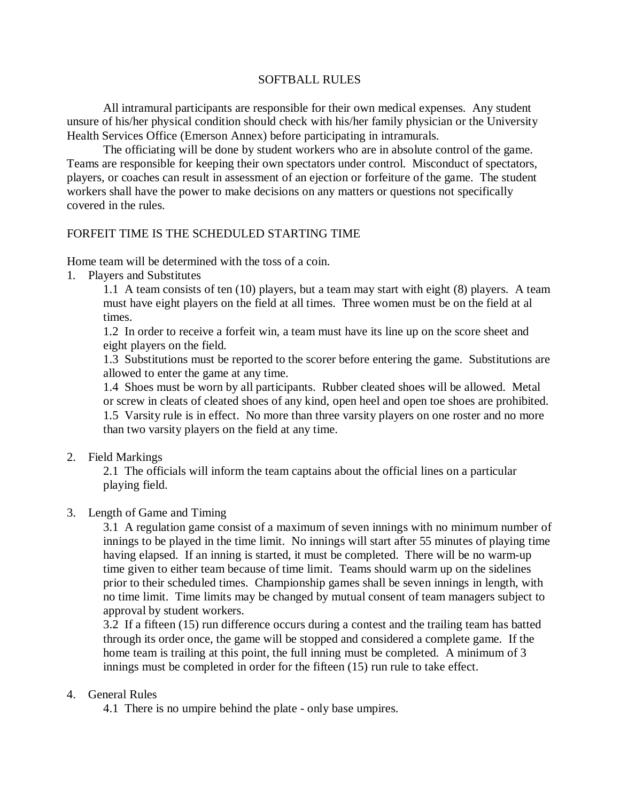## SOFTBALL RULES

All intramural participants are responsible for their own medical expenses. Any student unsure of his/her physical condition should check with his/her family physician or the University Health Services Office (Emerson Annex) before participating in intramurals.

The officiating will be done by student workers who are in absolute control of the game. Teams are responsible for keeping their own spectators under control. Misconduct of spectators, players, or coaches can result in assessment of an ejection or forfeiture of the game. The student workers shall have the power to make decisions on any matters or questions not specifically covered in the rules.

## FORFEIT TIME IS THE SCHEDULED STARTING TIME

Home team will be determined with the toss of a coin.

1. Players and Substitutes

 1.1 A team consists of ten (10) players, but a team may start with eight (8) players. A team must have eight players on the field at all times. Three women must be on the field at al times.

 1.2 In order to receive a forfeit win, a team must have its line up on the score sheet and eight players on the field.

 1.3 Substitutions must be reported to the scorer before entering the game. Substitutions are allowed to enter the game at any time.

 1.4 Shoes must be worn by all participants. Rubber cleated shoes will be allowed. Metal or screw in cleats of cleated shoes of any kind, open heel and open toe shoes are prohibited. 1.5 Varsity rule is in effect. No more than three varsity players on one roster and no more than two varsity players on the field at any time.

2. Field Markings

 2.1 The officials will inform the team captains about the official lines on a particular playing field.

## 3. Length of Game and Timing

 3.1 A regulation game consist of a maximum of seven innings with no minimum number of innings to be played in the time limit. No innings will start after 55 minutes of playing time having elapsed. If an inning is started, it must be completed. There will be no warm-up time given to either team because of time limit. Teams should warm up on the sidelines prior to their scheduled times. Championship games shall be seven innings in length, with no time limit. Time limits may be changed by mutual consent of team managers subject to approval by student workers.

 3.2 If a fifteen (15) run difference occurs during a contest and the trailing team has batted through its order once, the game will be stopped and considered a complete game. If the home team is trailing at this point, the full inning must be completed. A minimum of 3 innings must be completed in order for the fifteen (15) run rule to take effect.

## 4. General Rules

4.1 There is no umpire behind the plate - only base umpires.